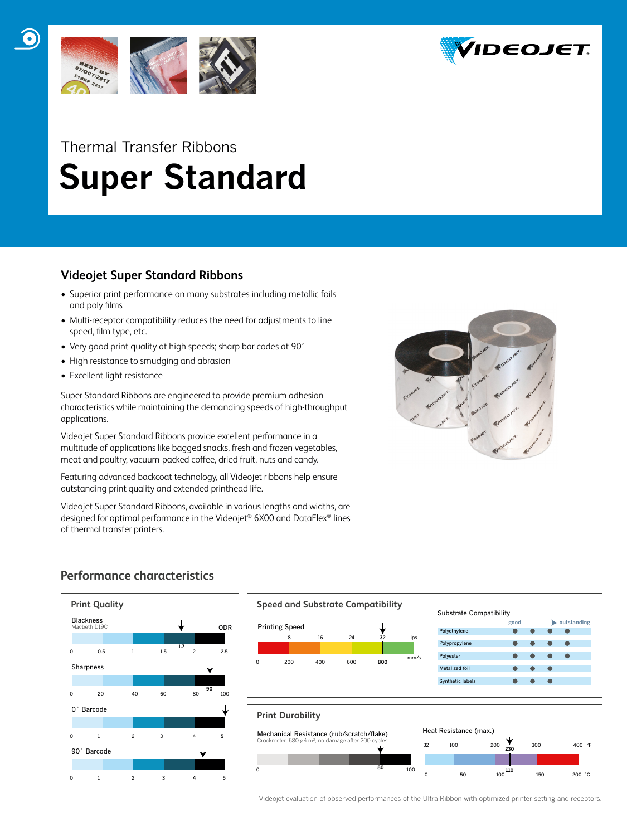



# Thermal Transfer Ribbons  **Super Standard**

# **Videojet Super Standard Ribbons**

- Superior print performance on many substrates including metallic foils and poly films
- Multi-receptor compatibility reduces the need for adjustments to line speed, film type, etc.
- Very good print quality at high speeds; sharp bar codes at 90°
- High resistance to smudging and abrasion
- Excellent light resistance

Super Standard Ribbons are engineered to provide premium adhesion characteristics while maintaining the demanding speeds of high-throughput applications.

Videojet Super Standard Ribbons provide excellent performance in a multitude of applications like bagged snacks, fresh and frozen vegetables, meat and poultry, vacuum-packed coffee, dried fruit, nuts and candy.

Featuring advanced backcoat technology, all Videojet ribbons help ensure outstanding print quality and extended printhead life.

Videojet Super Standard Ribbons, available in various lengths and widths, are designed for optimal performance in the Videojet® 6X00 and DataFlex® lines of thermal transfer printers.



# **Performance characteristics**





Videojet evaluation of observed performances of the Ultra Ribbon with optimized printer setting and receptors.

0 50 100 150 200 °C

0 **80 100**